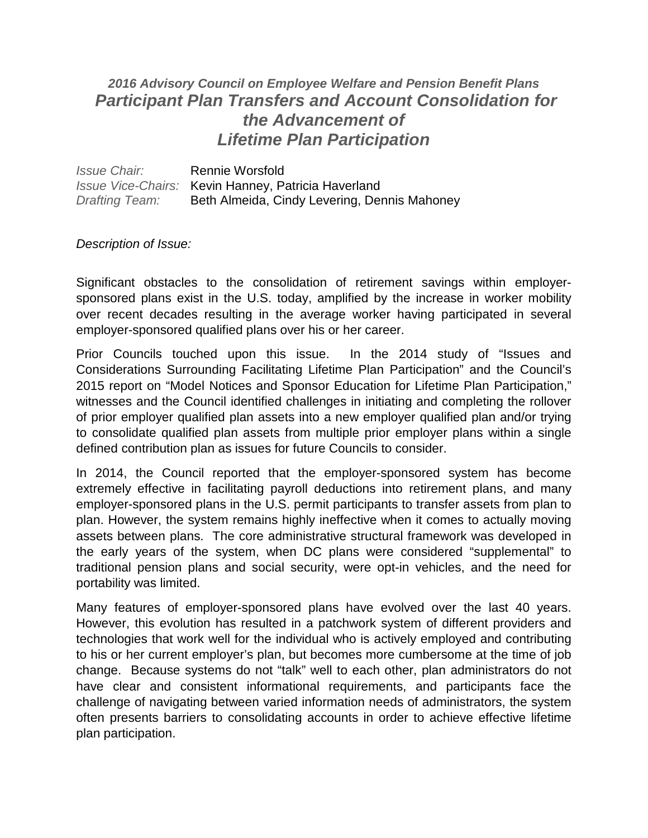## *2016 Advisory Council on Employee Welfare and Pension Benefit Plans Participant Plan Transfers and Account Consolidation for the Advancement of Lifetime Plan Participation*

*Issue Chair:* Rennie Worsfold *Issue Vice-Chairs:* Kevin Hanney, Patricia Haverland *Drafting Team:* Beth Almeida, Cindy Levering, Dennis Mahoney

## *Description of Issue:*

Significant obstacles to the consolidation of retirement savings within employersponsored plans exist in the U.S. today, amplified by the increase in worker mobility over recent decades resulting in the average worker having participated in several employer-sponsored qualified plans over his or her career.

Prior Councils touched upon this issue. In the 2014 study of "Issues and Considerations Surrounding Facilitating Lifetime Plan Participation" and the Council's 2015 report on "Model Notices and Sponsor Education for Lifetime Plan Participation," witnesses and the Council identified challenges in initiating and completing the rollover of prior employer qualified plan assets into a new employer qualified plan and/or trying to consolidate qualified plan assets from multiple prior employer plans within a single defined contribution plan as issues for future Councils to consider.

In 2014, the Council reported that the employer-sponsored system has become extremely effective in facilitating payroll deductions into retirement plans, and many employer-sponsored plans in the U.S. permit participants to transfer assets from plan to plan. However, the system remains highly ineffective when it comes to actually moving assets between plans. The core administrative structural framework was developed in the early years of the system, when DC plans were considered "supplemental" to traditional pension plans and social security, were opt-in vehicles, and the need for portability was limited.

Many features of employer-sponsored plans have evolved over the last 40 years. However, this evolution has resulted in a patchwork system of different providers and technologies that work well for the individual who is actively employed and contributing to his or her current employer's plan, but becomes more cumbersome at the time of job change. Because systems do not "talk" well to each other, plan administrators do not have clear and consistent informational requirements, and participants face the challenge of navigating between varied information needs of administrators, the system often presents barriers to consolidating accounts in order to achieve effective lifetime plan participation.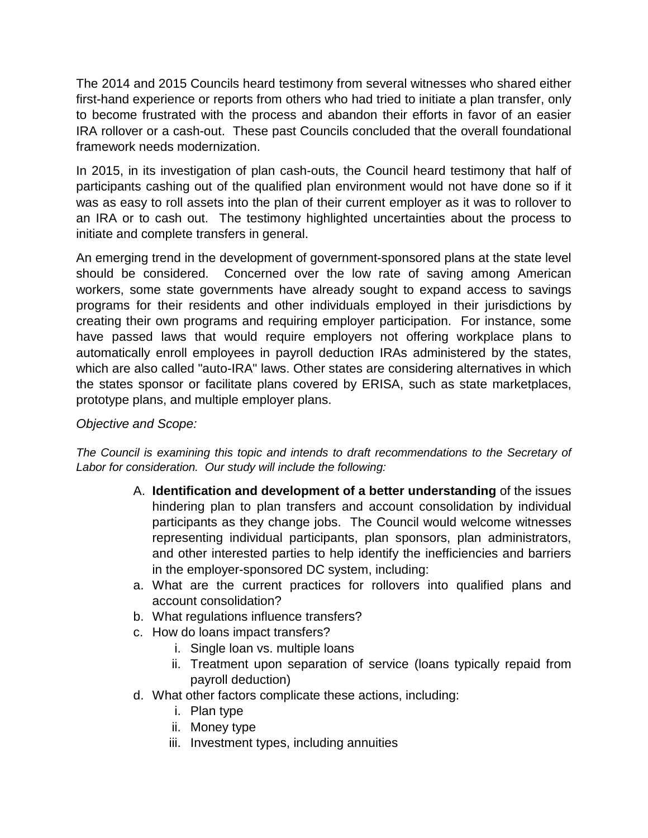The 2014 and 2015 Councils heard testimony from several witnesses who shared either first-hand experience or reports from others who had tried to initiate a plan transfer, only to become frustrated with the process and abandon their efforts in favor of an easier IRA rollover or a cash-out. These past Councils concluded that the overall foundational framework needs modernization.

In 2015, in its investigation of plan cash-outs, the Council heard testimony that half of participants cashing out of the qualified plan environment would not have done so if it was as easy to roll assets into the plan of their current employer as it was to rollover to an IRA or to cash out. The testimony highlighted uncertainties about the process to initiate and complete transfers in general.

An emerging trend in the development of government-sponsored plans at the state level should be considered. Concerned over the low rate of saving among American workers, some state governments have already sought to expand access to savings programs for their residents and other individuals employed in their jurisdictions by creating their own programs and requiring employer participation. For instance, some have passed laws that would require employers not offering workplace plans to automatically enroll employees in payroll deduction IRAs administered by the states, which are also called "auto-IRA" laws. Other states are considering alternatives in which the states sponsor or facilitate plans covered by ERISA, such as state marketplaces, prototype plans, and multiple employer plans.

*Objective and Scope:*

*The Council is examining this topic and intends to draft recommendations to the Secretary of Labor for consideration. Our study will include the following:*

- A. **Identification and development of a better understanding** of the issues hindering plan to plan transfers and account consolidation by individual participants as they change jobs. The Council would welcome witnesses representing individual participants, plan sponsors, plan administrators, and other interested parties to help identify the inefficiencies and barriers in the employer-sponsored DC system, including:
- a. What are the current practices for rollovers into qualified plans and account consolidation?
- b. What regulations influence transfers?
- c. How do loans impact transfers?
	- i. Single loan vs. multiple loans
	- ii. Treatment upon separation of service (loans typically repaid from payroll deduction)
- d. What other factors complicate these actions, including:
	- i. Plan type
	- ii. Money type
	- iii. Investment types, including annuities